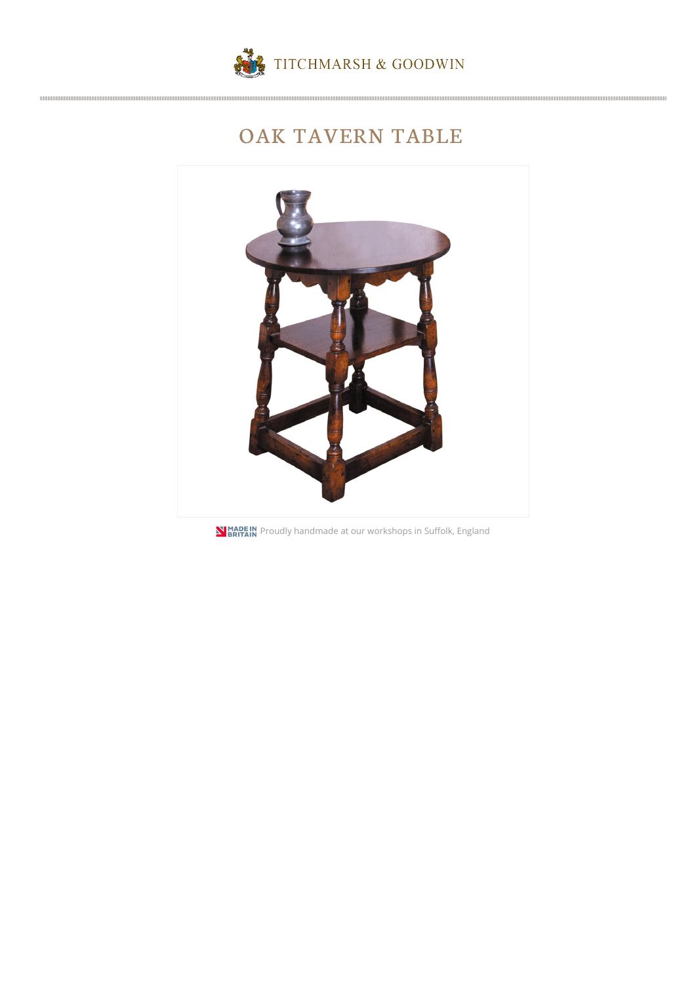

## OAK TAVERN TABLE



**N BRITAIN** Proudly handmade at our workshops in Suffolk, England